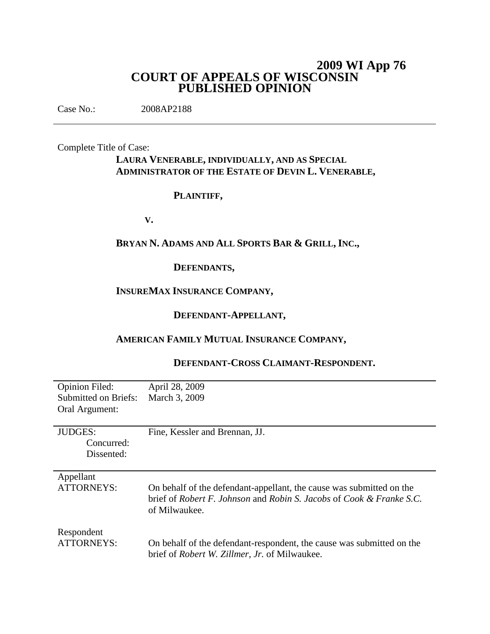# **2009 WI App 76 COURT OF APPEALS OF WISCONSIN PUBLISHED OPINION**

Case No.: 2008AP2188

Complete Title of Case:

# **LAURA VENERABLE, INDIVIDUALLY, AND AS SPECIAL ADMINISTRATOR OF THE ESTATE OF DEVIN L. VENERABLE,**

## **PLAINTIFF,**

**V.**

# **BRYAN N. ADAMS AND ALL SPORTS BAR & GRILL, INC.,**

## **DEFENDANTS,**

# **INSUREMAX INSURANCE COMPANY,**

# **DEFENDANT-APPELLANT,**

# **AMERICAN FAMILY MUTUAL INSURANCE COMPANY,**

| <b>Opinion Filed:</b> | April 28, 2009                                                        |
|-----------------------|-----------------------------------------------------------------------|
| Submitted on Briefs:  | March 3, 2009                                                         |
| Oral Argument:        |                                                                       |
|                       |                                                                       |
| <b>JUDGES:</b>        | Fine, Kessler and Brennan, JJ.                                        |
| Concurred:            |                                                                       |
| Dissented:            |                                                                       |
|                       |                                                                       |
| Appellant             |                                                                       |
| ATTORNEYS:            | On behalf of the defendant-appellant, the cause was submitted on the  |
|                       | brief of Robert F. Johnson and Robin S. Jacobs of Cook & Franke S.C.  |
|                       | of Milwaukee.                                                         |
|                       |                                                                       |
| Respondent            |                                                                       |
| <b>ATTORNEYS:</b>     | On behalf of the defendant-respondent, the cause was submitted on the |
|                       |                                                                       |
|                       | brief of <i>Robert W. Zillmer</i> , <i>Jr.</i> of Milwaukee.          |

# **DEFENDANT-CROSS CLAIMANT-RESPONDENT.**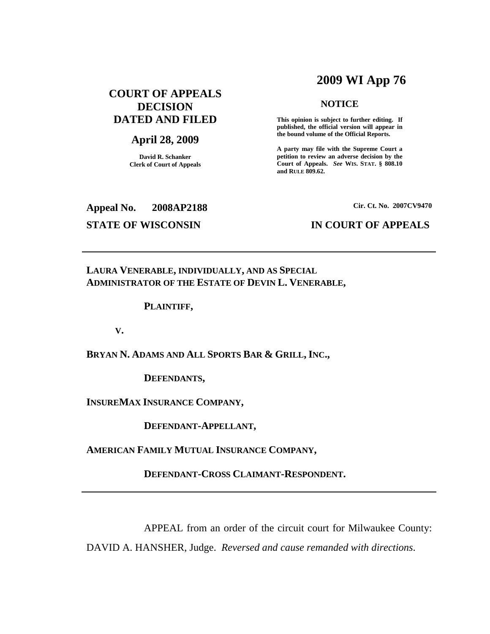# **2009 WI App 76**

# **COURT OF APPEALS DECISION DATED AND FILED**

## **April 28, 2009**

**David R. Schanker Clerk of Court of Appeals**

## **NOTICE**

**This opinion is subject to further editing. If published, the official version will appear in the bound volume of the Official Reports.**

**A party may file with the Supreme Court a petition to review an adverse decision by the Court of Appeals.** *See* **WIS. STAT. § 808.10 and RULE 809.62.**

**Appeal No. 2008AP2188**

## **STATE OF WISCONSIN IN COURT OF APPEALS**

### **Cir. Ct. No. 2007CV9470**

## **LAURA VENERABLE, INDIVIDUALLY, AND AS SPECIAL ADMINISTRATOR OF THE ESTATE OF DEVIN L. VENERABLE,**

## **PLAINTIFF,**

### **V.**

**BRYAN N. ADAMS AND ALL SPORTS BAR & GRILL, INC.,**

**DEFENDANTS,**

**INSUREMAX INSURANCE COMPANY,**

**DEFENDANT-APPELLANT,**

**AMERICAN FAMILY MUTUAL INSURANCE COMPANY,**

**DEFENDANT-CROSS CLAIMANT-RESPONDENT.**

APPEAL from an order of the circuit court for Milwaukee County:

DAVID A. HANSHER, Judge. *Reversed and cause remanded with directions*.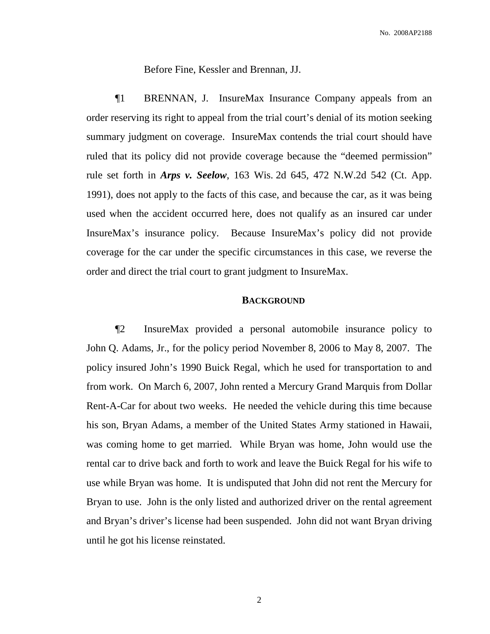Before Fine, Kessler and Brennan, JJ.

¶1 BRENNAN, J. InsureMax Insurance Company appeals from an order reserving its right to appeal from the trial court's denial of its motion seeking summary judgment on coverage. InsureMax contends the trial court should have ruled that its policy did not provide coverage because the "deemed permission" rule set forth in *Arps v. Seelow*, 163 Wis. 2d 645, 472 N.W.2d 542 (Ct. App. 1991), does not apply to the facts of this case, and because the car, as it was being used when the accident occurred here, does not qualify as an insured car under InsureMax's insurance policy. Because InsureMax's policy did not provide coverage for the car under the specific circumstances in this case, we reverse the order and direct the trial court to grant judgment to InsureMax.

## **BACKGROUND**

¶2 InsureMax provided a personal automobile insurance policy to John Q. Adams, Jr., for the policy period November 8, 2006 to May 8, 2007. The policy insured John's 1990 Buick Regal, which he used for transportation to and from work. On March 6, 2007, John rented a Mercury Grand Marquis from Dollar Rent-A-Car for about two weeks. He needed the vehicle during this time because his son, Bryan Adams, a member of the United States Army stationed in Hawaii, was coming home to get married. While Bryan was home, John would use the rental car to drive back and forth to work and leave the Buick Regal for his wife to use while Bryan was home. It is undisputed that John did not rent the Mercury for Bryan to use. John is the only listed and authorized driver on the rental agreement and Bryan's driver's license had been suspended. John did not want Bryan driving until he got his license reinstated.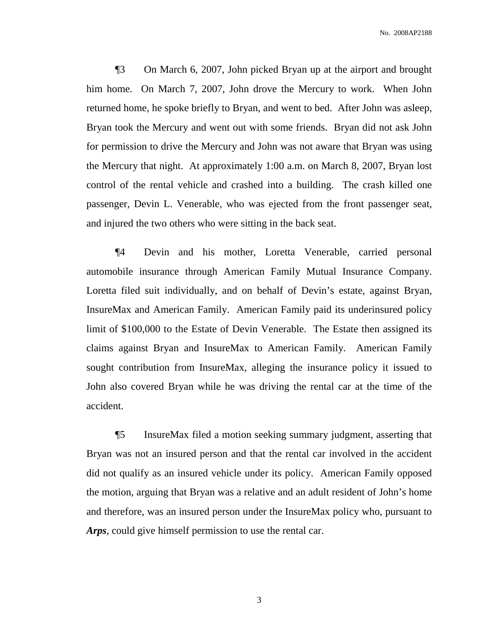¶3 On March 6, 2007, John picked Bryan up at the airport and brought him home. On March 7, 2007, John drove the Mercury to work. When John returned home, he spoke briefly to Bryan, and went to bed. After John was asleep, Bryan took the Mercury and went out with some friends. Bryan did not ask John for permission to drive the Mercury and John was not aware that Bryan was using the Mercury that night. At approximately 1:00 a.m. on March 8, 2007, Bryan lost control of the rental vehicle and crashed into a building. The crash killed one passenger, Devin L. Venerable, who was ejected from the front passenger seat, and injured the two others who were sitting in the back seat.

¶4 Devin and his mother, Loretta Venerable, carried personal automobile insurance through American Family Mutual Insurance Company. Loretta filed suit individually, and on behalf of Devin's estate, against Bryan, InsureMax and American Family. American Family paid its underinsured policy limit of \$100,000 to the Estate of Devin Venerable. The Estate then assigned its claims against Bryan and InsureMax to American Family. American Family sought contribution from InsureMax, alleging the insurance policy it issued to John also covered Bryan while he was driving the rental car at the time of the accident.

¶5 InsureMax filed a motion seeking summary judgment, asserting that Bryan was not an insured person and that the rental car involved in the accident did not qualify as an insured vehicle under its policy. American Family opposed the motion, arguing that Bryan was a relative and an adult resident of John's home and therefore, was an insured person under the InsureMax policy who, pursuant to *Arps*, could give himself permission to use the rental car.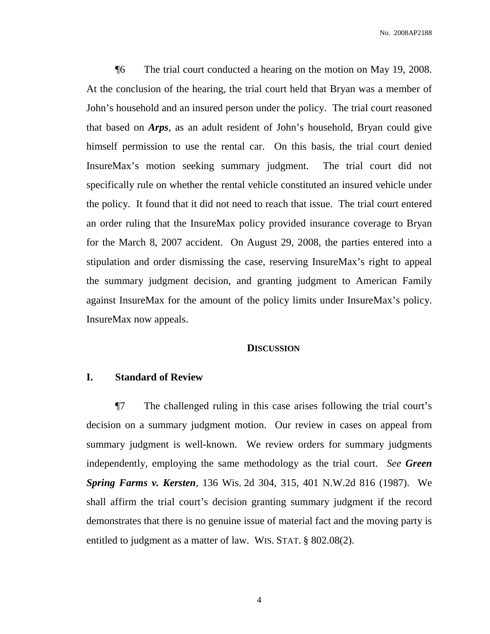¶6 The trial court conducted a hearing on the motion on May 19, 2008. At the conclusion of the hearing, the trial court held that Bryan was a member of John's household and an insured person under the policy. The trial court reasoned that based on *Arps*, as an adult resident of John's household, Bryan could give himself permission to use the rental car. On this basis, the trial court denied InsureMax's motion seeking summary judgment. The trial court did not specifically rule on whether the rental vehicle constituted an insured vehicle under the policy. It found that it did not need to reach that issue. The trial court entered an order ruling that the InsureMax policy provided insurance coverage to Bryan for the March 8, 2007 accident. On August 29, 2008, the parties entered into a stipulation and order dismissing the case, reserving InsureMax's right to appeal the summary judgment decision, and granting judgment to American Family against InsureMax for the amount of the policy limits under InsureMax's policy. InsureMax now appeals.

### **DISCUSSION**

## **I. Standard of Review**

¶7 The challenged ruling in this case arises following the trial court's decision on a summary judgment motion. Our review in cases on appeal from summary judgment is well-known. We review orders for summary judgments independently, employing the same methodology as the trial court. *See Green Spring Farms v. Kersten*, 136 Wis. 2d 304, 315, 401 N.W.2d 816 (1987). We shall affirm the trial court's decision granting summary judgment if the record demonstrates that there is no genuine issue of material fact and the moving party is entitled to judgment as a matter of law. WIS. STAT. § 802.08(2).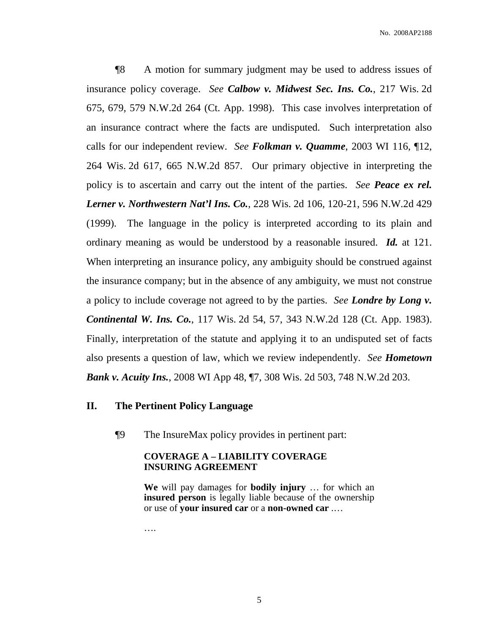¶8 A motion for summary judgment may be used to address issues of insurance policy coverage. *See Calbow v. Midwest Sec. Ins. Co.*, 217 Wis. 2d 675, 679, 579 N.W.2d 264 (Ct. App. 1998). This case involves interpretation of an insurance contract where the facts are undisputed. Such interpretation also calls for our independent review. *See Folkman v. Quamme*, 2003 WI 116, ¶12, 264 Wis. 2d 617, 665 N.W.2d 857. Our primary objective in interpreting the policy is to ascertain and carry out the intent of the parties. *See Peace ex rel. Lerner v. Northwestern Nat'l Ins. Co.*, 228 Wis. 2d 106, 120-21, 596 N.W.2d 429 (1999). The language in the policy is interpreted according to its plain and ordinary meaning as would be understood by a reasonable insured. *Id.* at 121. When interpreting an insurance policy, any ambiguity should be construed against the insurance company; but in the absence of any ambiguity, we must not construe a policy to include coverage not agreed to by the parties. *See Londre by Long v. Continental W. Ins. Co.*, 117 Wis. 2d 54, 57, 343 N.W.2d 128 (Ct. App. 1983). Finally, interpretation of the statute and applying it to an undisputed set of facts also presents a question of law, which we review independently. *See Hometown Bank v. Acuity Ins.*, 2008 WI App 48, ¶7, 308 Wis. 2d 503, 748 N.W.2d 203.

## **II. The Pertinent Policy Language**

¶9 The InsureMax policy provides in pertinent part:

## **COVERAGE A – LIABILITY COVERAGE INSURING AGREEMENT**

**We** will pay damages for **bodily injury** … for which an **insured person** is legally liable because of the ownership or use of **your insured car** or a **non-owned car** .…

….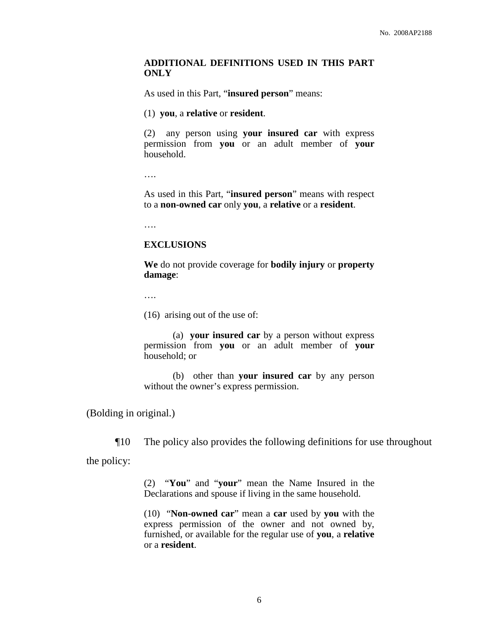### **ADDITIONAL DEFINITIONS USED IN THIS PART ONLY**

As used in this Part, "**insured person**" means:

(1) **you**, a **relative** or **resident**.

(2) any person using **your insured car** with express permission from **you** or an adult member of **your** household.

….

As used in this Part, "**insured person**" means with respect to a **non-owned car** only **you**, a **relative** or a **resident**.

….

### **EXCLUSIONS**

**We** do not provide coverage for **bodily injury** or **property damage**:

….

(16) arising out of the use of:

(a) **your insured car** by a person without express permission from **you** or an adult member of **your** household; or

(b) other than **your insured car** by any person without the owner's express permission.

(Bolding in original.)

¶10 The policy also provides the following definitions for use throughout the policy:

> (2) "**You**" and "**your**" mean the Name Insured in the Declarations and spouse if living in the same household.

> (10) "**Non-owned car**" mean a **car** used by **you** with the express permission of the owner and not owned by, furnished, or available for the regular use of **you**, a **relative** or a **resident**.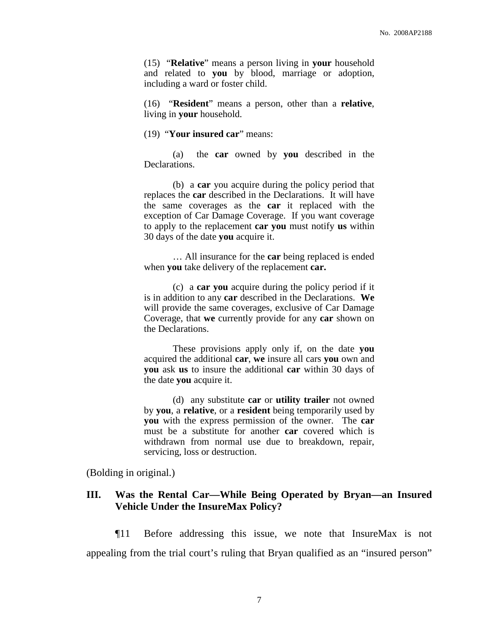(15) "**Relative**" means a person living in **your** household and related to **you** by blood, marriage or adoption, including a ward or foster child.

(16) "**Resident**" means a person, other than a **relative**, living in **your** household.

### (19) "**Your insured car**" means:

(a) the **car** owned by **you** described in the Declarations.

(b) a **car** you acquire during the policy period that replaces the **car** described in the Declarations. It will have the same coverages as the **car** it replaced with the exception of Car Damage Coverage. If you want coverage to apply to the replacement **car you** must notify **us** within 30 days of the date **you** acquire it.

… All insurance for the **car** being replaced is ended when **you** take delivery of the replacement **car.**

(c) a **car you** acquire during the policy period if it is in addition to any **car** described in the Declarations. **We** will provide the same coverages, exclusive of Car Damage Coverage, that **we** currently provide for any **car** shown on the Declarations.

These provisions apply only if, on the date **you** acquired the additional **car**, **we** insure all cars **you** own and **you** ask **us** to insure the additional **car** within 30 days of the date **you** acquire it.

(d) any substitute **car** or **utility trailer** not owned by **you**, a **relative**, or a **resident** being temporarily used by **you** with the express permission of the owner. The **car** must be a substitute for another **car** covered which is withdrawn from normal use due to breakdown, repair, servicing, loss or destruction.

(Bolding in original.)

## **III. Was the Rental Car—While Being Operated by Bryan—an Insured Vehicle Under the InsureMax Policy?**

¶11 Before addressing this issue, we note that InsureMax is not appealing from the trial court's ruling that Bryan qualified as an "insured person"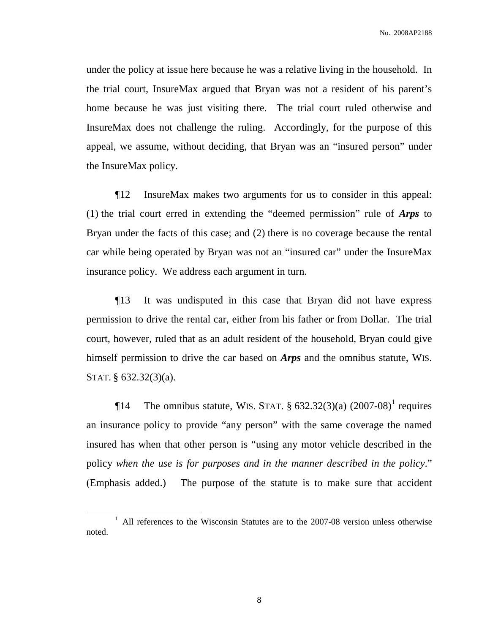No. 2008AP2188

under the policy at issue here because he was a relative living in the household. In the trial court, InsureMax argued that Bryan was not a resident of his parent's home because he was just visiting there. The trial court ruled otherwise and InsureMax does not challenge the ruling. Accordingly, for the purpose of this appeal, we assume, without deciding, that Bryan was an "insured person" under the InsureMax policy.

¶12 InsureMax makes two arguments for us to consider in this appeal: (1) the trial court erred in extending the "deemed permission" rule of *Arps* to Bryan under the facts of this case; and (2) there is no coverage because the rental car while being operated by Bryan was not an "insured car" under the InsureMax insurance policy. We address each argument in turn.

¶13 It was undisputed in this case that Bryan did not have express permission to drive the rental car, either from his father or from Dollar. The trial court, however, ruled that as an adult resident of the household, Bryan could give himself permission to drive the car based on *Arps* and the omnibus statute, WIS. STAT. § 632.32(3)(a).

**The omnibus statute, WIS. STAT.** § 632.32(3)(a)  $(2007-08)^1$  requires an insurance policy to provide "any person" with the same coverage the named insured has when that other person is "using any motor vehicle described in the policy *when the use is for purposes and in the manner described in the policy*." (Emphasis added.) The purpose of the statute is to make sure that accident

 $1$  All references to the Wisconsin Statutes are to the 2007-08 version unless otherwise noted.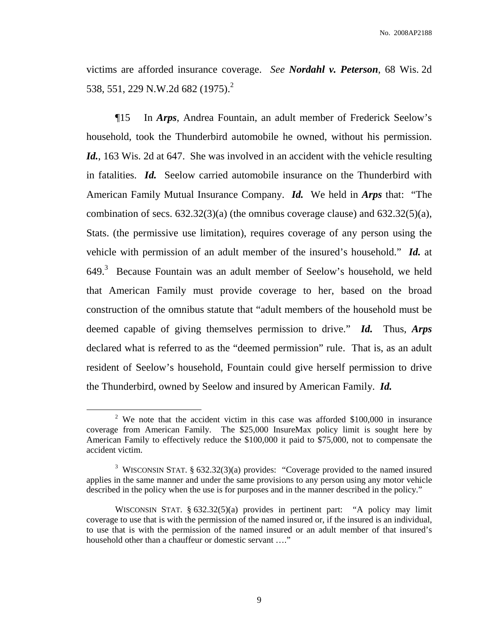victims are afforded insurance coverage. *See Nordahl v. Peterson*, 68 Wis. 2d 538, 551, 229 N.W.2d 682 (1975). 2

¶15 In *Arps*, Andrea Fountain, an adult member of Frederick Seelow's household, took the Thunderbird automobile he owned, without his permission. *Id.*, 163 Wis. 2d at 647. She was involved in an accident with the vehicle resulting in fatalities. *Id.* Seelow carried automobile insurance on the Thunderbird with American Family Mutual Insurance Company. *Id.* We held in *Arps* that: "The combination of secs.  $632.32(3)(a)$  (the omnibus coverage clause) and  $632.32(5)(a)$ , Stats. (the permissive use limitation), requires coverage of any person using the vehicle with permission of an adult member of the insured's household." *Id.* at 649.<sup>3</sup> Because Fountain was an adult member of Seelow's household, we held that American Family must provide coverage to her, based on the broad construction of the omnibus statute that "adult members of the household must be deemed capable of giving themselves permission to drive." *Id.* Thus, *Arps* declared what is referred to as the "deemed permission" rule. That is, as an adult resident of Seelow's household, Fountain could give herself permission to drive the Thunderbird, owned by Seelow and insured by American Family. *Id.*

<sup>&</sup>lt;sup>2</sup> We note that the accident victim in this case was afforded \$100,000 in insurance coverage from American Family. The \$25,000 InsureMax policy limit is sought here by American Family to effectively reduce the \$100,000 it paid to \$75,000, not to compensate the accident victim.

<sup>3</sup> WISCONSIN STAT. § 632.32(3)(a) provides: "Coverage provided to the named insured applies in the same manner and under the same provisions to any person using any motor vehicle described in the policy when the use is for purposes and in the manner described in the policy."

WISCONSIN STAT.  $\S 632.32(5)(a)$  provides in pertinent part: "A policy may limit coverage to use that is with the permission of the named insured or, if the insured is an individual, to use that is with the permission of the named insured or an adult member of that insured's household other than a chauffeur or domestic servant …."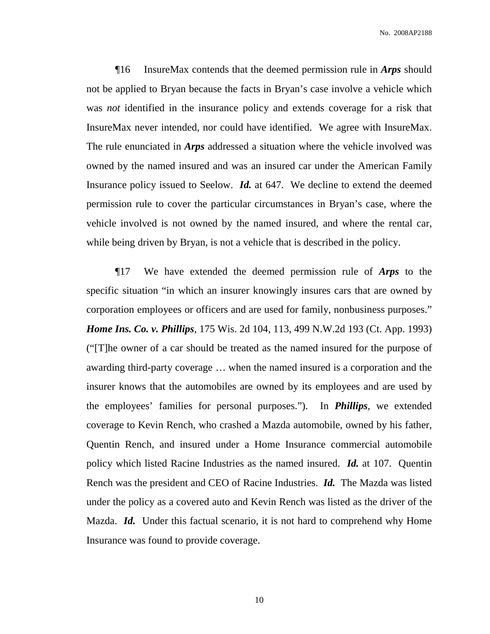¶16 InsureMax contends that the deemed permission rule in *Arps* should not be applied to Bryan because the facts in Bryan's case involve a vehicle which was *not* identified in the insurance policy and extends coverage for a risk that InsureMax never intended, nor could have identified. We agree with InsureMax. The rule enunciated in *Arps* addressed a situation where the vehicle involved was owned by the named insured and was an insured car under the American Family Insurance policy issued to Seelow. *Id.* at 647. We decline to extend the deemed permission rule to cover the particular circumstances in Bryan's case, where the vehicle involved is not owned by the named insured, and where the rental car, while being driven by Bryan, is not a vehicle that is described in the policy.

¶17 We have extended the deemed permission rule of *Arps* to the specific situation "in which an insurer knowingly insures cars that are owned by corporation employees or officers and are used for family, nonbusiness purposes." *Home Ins. Co. v. Phillips*, 175 Wis. 2d 104, 113, 499 N.W.2d 193 (Ct. App. 1993) ("[T]he owner of a car should be treated as the named insured for the purpose of awarding third-party coverage … when the named insured is a corporation and the insurer knows that the automobiles are owned by its employees and are used by the employees' families for personal purposes."). In *Phillips*, we extended coverage to Kevin Rench, who crashed a Mazda automobile, owned by his father, Quentin Rench, and insured under a Home Insurance commercial automobile policy which listed Racine Industries as the named insured. *Id.* at 107. Quentin Rench was the president and CEO of Racine Industries. *Id.* The Mazda was listed under the policy as a covered auto and Kevin Rench was listed as the driver of the Mazda. *Id.* Under this factual scenario, it is not hard to comprehend why Home Insurance was found to provide coverage.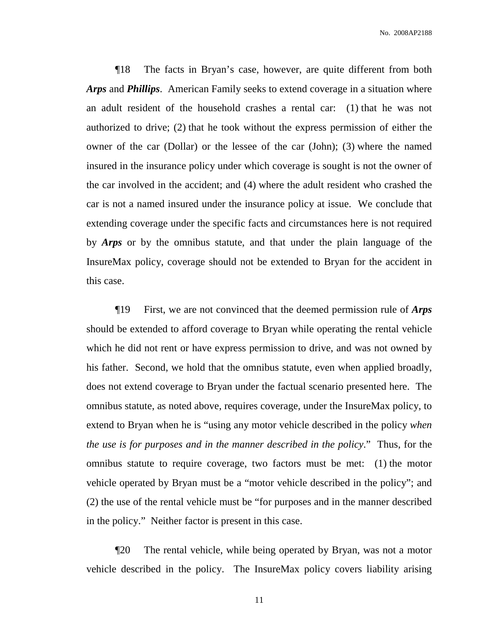¶18 The facts in Bryan's case, however, are quite different from both *Arps* and *Phillips*. American Family seeks to extend coverage in a situation where an adult resident of the household crashes a rental car: (1) that he was not authorized to drive; (2) that he took without the express permission of either the owner of the car (Dollar) or the lessee of the car (John); (3) where the named insured in the insurance policy under which coverage is sought is not the owner of the car involved in the accident; and (4) where the adult resident who crashed the car is not a named insured under the insurance policy at issue. We conclude that extending coverage under the specific facts and circumstances here is not required by *Arps* or by the omnibus statute, and that under the plain language of the InsureMax policy, coverage should not be extended to Bryan for the accident in this case.

¶19 First, we are not convinced that the deemed permission rule of *Arps* should be extended to afford coverage to Bryan while operating the rental vehicle which he did not rent or have express permission to drive, and was not owned by his father. Second, we hold that the omnibus statute, even when applied broadly, does not extend coverage to Bryan under the factual scenario presented here. The omnibus statute, as noted above, requires coverage, under the InsureMax policy, to extend to Bryan when he is "using any motor vehicle described in the policy *when the use is for purposes and in the manner described in the policy*." Thus, for the omnibus statute to require coverage, two factors must be met: (1) the motor vehicle operated by Bryan must be a "motor vehicle described in the policy"; and (2) the use of the rental vehicle must be "for purposes and in the manner described in the policy." Neither factor is present in this case.

¶20 The rental vehicle, while being operated by Bryan, was not a motor vehicle described in the policy. The InsureMax policy covers liability arising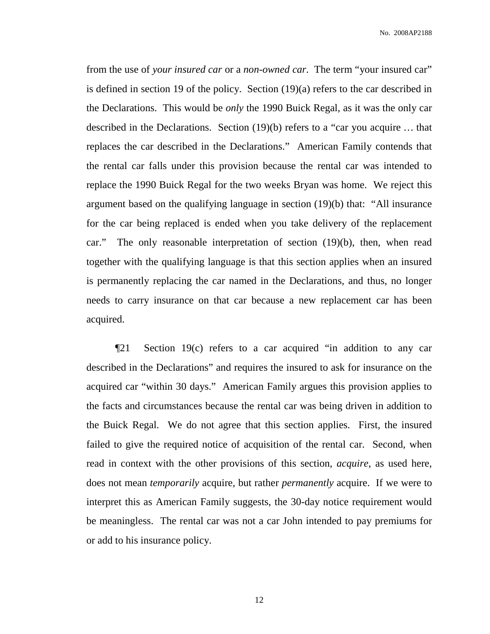from the use of *your insured car* or a *non-owned car*. The term "your insured car" is defined in section 19 of the policy. Section (19)(a) refers to the car described in the Declarations. This would be *only* the 1990 Buick Regal, as it was the only car described in the Declarations. Section (19)(b) refers to a "car you acquire … that replaces the car described in the Declarations." American Family contends that the rental car falls under this provision because the rental car was intended to replace the 1990 Buick Regal for the two weeks Bryan was home. We reject this argument based on the qualifying language in section (19)(b) that: "All insurance for the car being replaced is ended when you take delivery of the replacement car." The only reasonable interpretation of section (19)(b), then, when read together with the qualifying language is that this section applies when an insured is permanently replacing the car named in the Declarations, and thus, no longer needs to carry insurance on that car because a new replacement car has been acquired.

¶21 Section 19(c) refers to a car acquired "in addition to any car described in the Declarations" and requires the insured to ask for insurance on the acquired car "within 30 days." American Family argues this provision applies to the facts and circumstances because the rental car was being driven in addition to the Buick Regal. We do not agree that this section applies. First, the insured failed to give the required notice of acquisition of the rental car. Second, when read in context with the other provisions of this section, *acquire*, as used here, does not mean *temporarily* acquire, but rather *permanently* acquire. If we were to interpret this as American Family suggests, the 30-day notice requirement would be meaningless. The rental car was not a car John intended to pay premiums for or add to his insurance policy.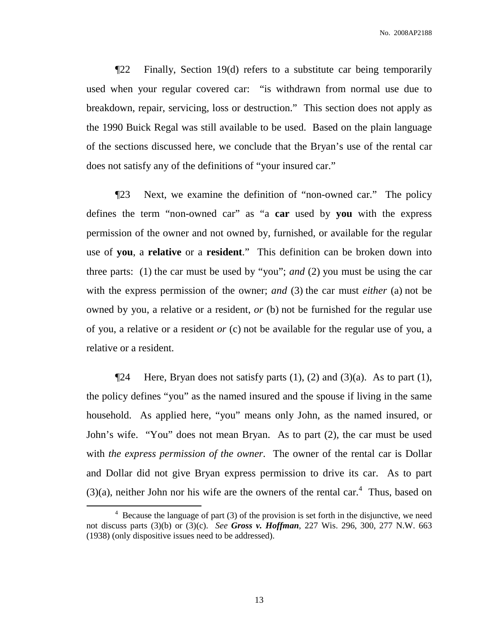¶22 Finally, Section 19(d) refers to a substitute car being temporarily used when your regular covered car: "is withdrawn from normal use due to breakdown, repair, servicing, loss or destruction." This section does not apply as the 1990 Buick Regal was still available to be used. Based on the plain language of the sections discussed here, we conclude that the Bryan's use of the rental car does not satisfy any of the definitions of "your insured car."

¶23 Next, we examine the definition of "non-owned car." The policy defines the term "non-owned car" as "a **car** used by **you** with the express permission of the owner and not owned by, furnished, or available for the regular use of **you**, a **relative** or a **resident**." This definition can be broken down into three parts: (1) the car must be used by "you"; *and* (2) you must be using the car with the express permission of the owner; *and* (3) the car must *either* (a) not be owned by you, a relative or a resident, *or* (b) not be furnished for the regular use of you, a relative or a resident *or* (c) not be available for the regular use of you, a relative or a resident.

**There, Bryan does not satisfy parts (1), (2) and (3)(a).** As to part (1), the policy defines "you" as the named insured and the spouse if living in the same household. As applied here, "you" means only John, as the named insured, or John's wife. "You" does not mean Bryan. As to part (2), the car must be used with *the express permission of the owner*. The owner of the rental car is Dollar and Dollar did not give Bryan express permission to drive its car. As to part  $(3)(a)$ , neither John nor his wife are the owners of the rental car.<sup>4</sup> Thus, based on

 $4$  Because the language of part (3) of the provision is set forth in the disjunctive, we need not discuss parts (3)(b) or (3)(c). *See Gross v. Hoffman*, 227 Wis. 296, 300, 277 N.W. 663 (1938) (only dispositive issues need to be addressed).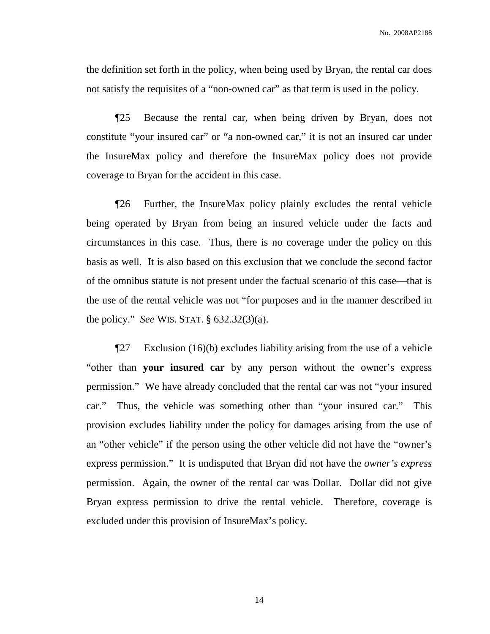the definition set forth in the policy, when being used by Bryan, the rental car does not satisfy the requisites of a "non-owned car" as that term is used in the policy.

¶25 Because the rental car, when being driven by Bryan, does not constitute "your insured car" or "a non-owned car," it is not an insured car under the InsureMax policy and therefore the InsureMax policy does not provide coverage to Bryan for the accident in this case.

¶26 Further, the InsureMax policy plainly excludes the rental vehicle being operated by Bryan from being an insured vehicle under the facts and circumstances in this case. Thus, there is no coverage under the policy on this basis as well. It is also based on this exclusion that we conclude the second factor of the omnibus statute is not present under the factual scenario of this case—that is the use of the rental vehicle was not "for purposes and in the manner described in the policy." *See* WIS. STAT. § 632.32(3)(a).

¶27 Exclusion (16)(b) excludes liability arising from the use of a vehicle "other than **your insured car** by any person without the owner's express permission." We have already concluded that the rental car was not "your insured car." Thus, the vehicle was something other than "your insured car." This provision excludes liability under the policy for damages arising from the use of an "other vehicle" if the person using the other vehicle did not have the "owner's express permission." It is undisputed that Bryan did not have the *owner's express* permission. Again, the owner of the rental car was Dollar. Dollar did not give Bryan express permission to drive the rental vehicle. Therefore, coverage is excluded under this provision of InsureMax's policy.